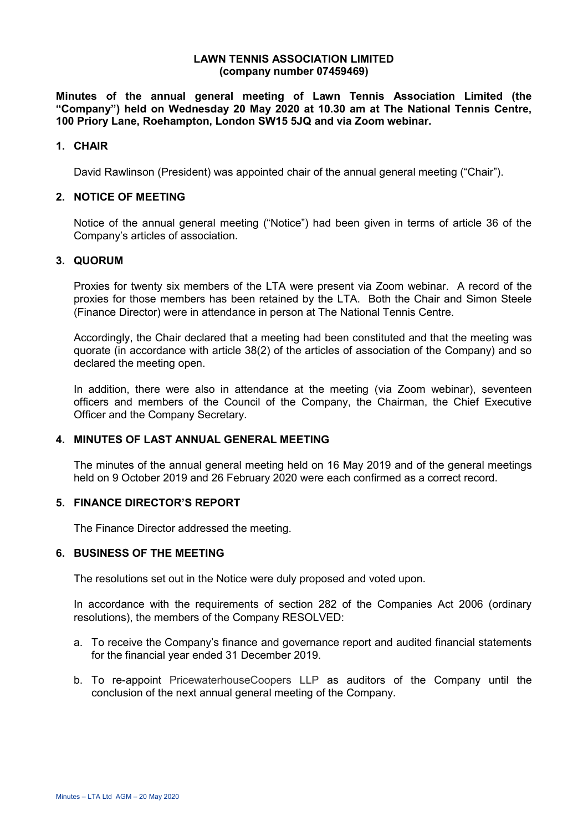#### **LAWN TENNIS ASSOCIATION LIMITED (company number 07459469)**

**Minutes of the annual general meeting of Lawn Tennis Association Limited (the "Company") held on Wednesday 20 May 2020 at 10.30 am at The National Tennis Centre, 100 Priory Lane, Roehampton, London SW15 5JQ and via Zoom webinar.** 

# **1. CHAIR**

David Rawlinson (President) was appointed chair of the annual general meeting ("Chair").

### **2. NOTICE OF MEETING**

Notice of the annual general meeting ("Notice") had been given in terms of article 36 of the Company's articles of association.

## **3. QUORUM**

Proxies for twenty six members of the LTA were present via Zoom webinar. A record of the proxies for those members has been retained by the LTA. Both the Chair and Simon Steele (Finance Director) were in attendance in person at The National Tennis Centre.

Accordingly, the Chair declared that a meeting had been constituted and that the meeting was quorate (in accordance with article 38(2) of the articles of association of the Company) and so declared the meeting open.

In addition, there were also in attendance at the meeting (via Zoom webinar), seventeen officers and members of the Council of the Company, the Chairman, the Chief Executive Officer and the Company Secretary.

# **4. MINUTES OF LAST ANNUAL GENERAL MEETING**

The minutes of the annual general meeting held on 16 May 2019 and of the general meetings held on 9 October 2019 and 26 February 2020 were each confirmed as a correct record.

### **5. FINANCE DIRECTOR'S REPORT**

The Finance Director addressed the meeting.

# **6. BUSINESS OF THE MEETING**

The resolutions set out in the Notice were duly proposed and voted upon.

In accordance with the requirements of section 282 of the Companies Act 2006 (ordinary resolutions), the members of the Company RESOLVED:

- a. To receive the Company's finance and governance report and audited financial statements for the financial year ended 31 December 2019.
- b. To re-appoint PricewaterhouseCoopers LLP as auditors of the Company until the conclusion of the next annual general meeting of the Company.